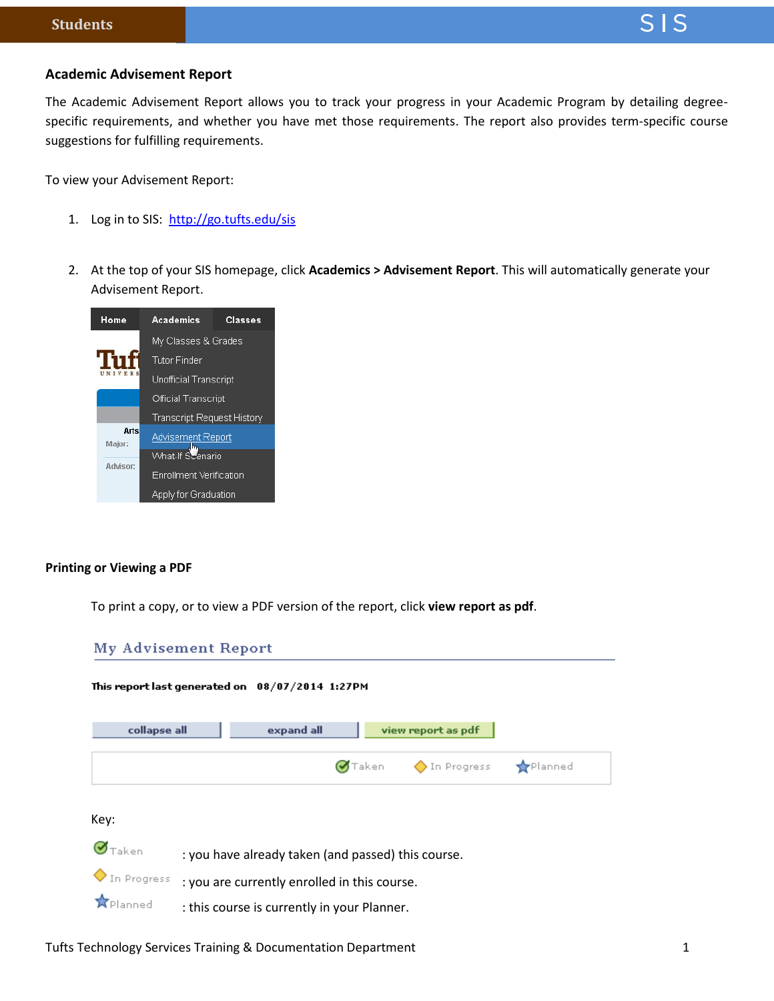### **Academic Advisement Report**

The Academic Advisement Report allows you to track your progress in your Academic Program by detailing degreespecific requirements, and whether you have met those requirements. The report also provides term-specific course suggestions for fulfilling requirements.

To view your Advisement Report:

- 1. Log in to SIS:<http://go.tufts.edu/sis>
- 2. At the top of your SIS homepage, click **Academics > Advisement Report**. This will automatically generate your Advisement Report.



#### **Printing or Viewing a PDF**

To print a copy, or to view a PDF version of the report, click **view report as pdf**.



Tufts Technology Services Training & Documentation Department 1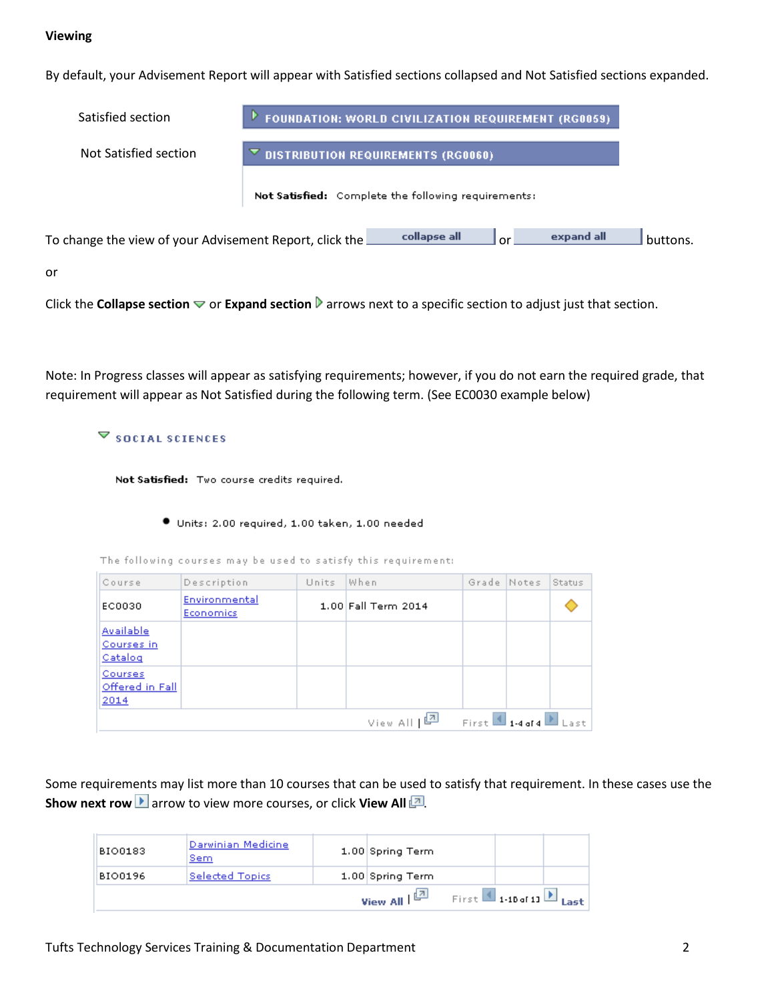# **Viewing**

By default, your Advisement Report will appear with Satisfied sections collapsed and Not Satisfied sections expanded.

| Satisfied section                                       | FOUNDATION: WORLD CIVILIZATION REQUIREMENT (RG0059) |              |    |            |          |
|---------------------------------------------------------|-----------------------------------------------------|--------------|----|------------|----------|
| Not Satisfied section                                   | <b>DISTRIBUTION REQUIREMENTS (RG0060)</b>           |              |    |            |          |
|                                                         | Not Satisfied: Complete the following requirements: |              |    |            |          |
| To change the view of your Advisement Report, click the |                                                     | collapse all | or | expand all | huttons. |
| or                                                      |                                                     |              |    |            |          |

Click the **Collapse section**  $\triangledown$  or **Expand section D** arrows next to a specific section to adjust just that section.

Note: In Progress classes will appear as satisfying requirements; however, if you do not earn the required grade, that requirement will appear as Not Satisfied during the following term. (See EC0030 example below)

### **▽ SOCIAL SCIENCES**

Not Satisfied: Two course credits required.

#### Units: 2.00 required, 1.00 taken, 1.00 needed

The following courses may be used to satisfy this requirement:

| Course                             | Description                | Units | When                      | Grade Notes |                                   | Status |
|------------------------------------|----------------------------|-------|---------------------------|-------------|-----------------------------------|--------|
| EC0030                             | Environmental<br>Economics |       | 1.00 Fall Term 2014       |             |                                   |        |
| Available<br>Courses in<br>Catalog |                            |       |                           |             |                                   |        |
| Courses<br>Offered in Fall<br>2014 |                            |       |                           |             |                                   |        |
|                                    |                            |       | View All [ <mark>과</mark> |             | First $\Box$ 1-4 of 4 $\Box$ Last |        |

Some requirements may list more than 10 courses that can be used to satisfy that requirement. In these cases use the **Show next row L** arrow to view more courses, or click **View All** ...

| <b>BIO0183</b> | Darwinian Medicine<br><u>Sem</u> | 1.00 Spring Term                   |                                                     |  |
|----------------|----------------------------------|------------------------------------|-----------------------------------------------------|--|
| BIO0196        | <b>Selected Topics</b>           | 1.00 Spring Term                   |                                                     |  |
|                |                                  | View All $\mathbb{E}^{\mathbb{Z}}$ | First $\blacksquare$ 1-10 of 11 $\blacksquare$ Last |  |